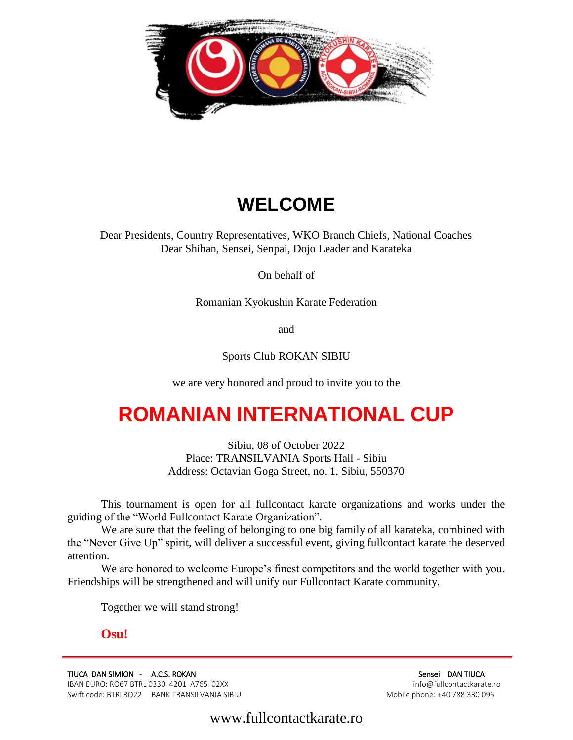

# **WELCOME**

Dear Presidents, Country Representatives, WKO Branch Chiefs, National Coaches Dear Shihan, Sensei, Senpai, Dojo Leader and Karateka

On behalf of

Romanian Kyokushin Karate Federation

and

Sports Club ROKAN SIBIU

we are very honored and proud to invite you to the

# **ROMANIAN INTERNATIONAL CUP**

Sibiu, 08 of October 2022 Place: TRANSILVANIA Sports Hall - Sibiu Address: Octavian Goga Street, no. 1, Sibiu, 550370

This tournament is open for all fullcontact karate organizations and works under the guiding of the "World Fullcontact Karate Organization".

We are sure that the feeling of belonging to one big family of all karateka, combined with the "Never Give Up" spirit, will deliver a successful event, giving fullcontact karate the deserved attention.

We are honored to welcome Europe's finest competitors and the world together with you. Friendships will be strengthened and will unify our Fullcontact Karate community.

Together we will stand strong!

# **Osu!**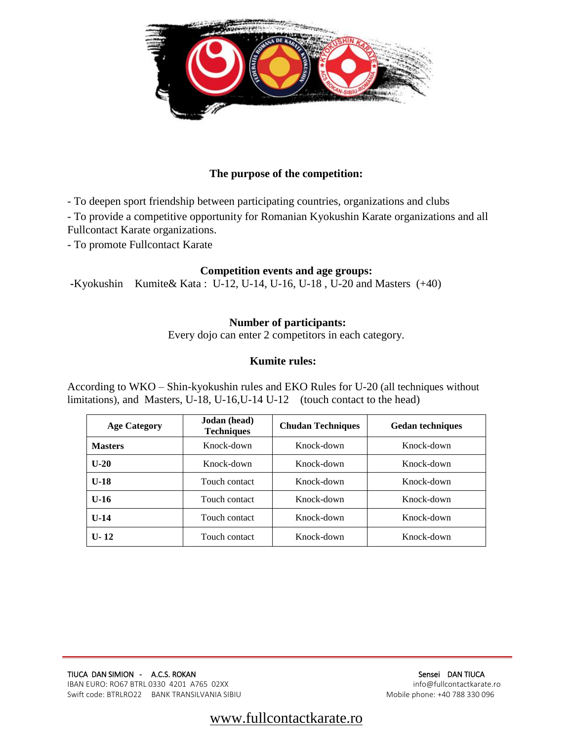

### **The purpose of the competition:**

- To deepen sport friendship between participating countries, organizations and clubs

- To provide a competitive opportunity for Romanian Kyokushin Karate organizations and all Fullcontact Karate organizations.

- To promote Fullcontact Karate

#### **Competition events and age groups:**

**-**Kyokushin Kumite& Kata : U-12, U-14, U-16, U-18 , U-20 and Masters (+40)

#### **Number of participants:**

Every dojo can enter 2 competitors in each category.

#### **Kumite rules:**

According to WKO – Shin-kyokushin rules and EKO Rules for U-20 (all techniques without limitations), and Masters, U-18, U-16,U-14 U-12 (touch contact to the head)

| <b>Age Category</b> | Jodan (head)<br><b>Techniques</b> | <b>Chudan Techniques</b> | <b>Gedan techniques</b> |  |
|---------------------|-----------------------------------|--------------------------|-------------------------|--|
| <b>Masters</b>      | Knock-down                        | Knock-down               | Knock-down              |  |
| $U-20$              | Knock-down                        | Knock-down               | Knock-down              |  |
| $U-18$              | Touch contact                     | Knock-down               | Knock-down              |  |
| $U-16$              | Touch contact                     | Knock-down               | Knock-down              |  |
| $U-14$              | Touch contact                     | Knock-down               | Knock-down              |  |
| $U - 12$            | Touch contact                     | Knock-down               | Knock-down              |  |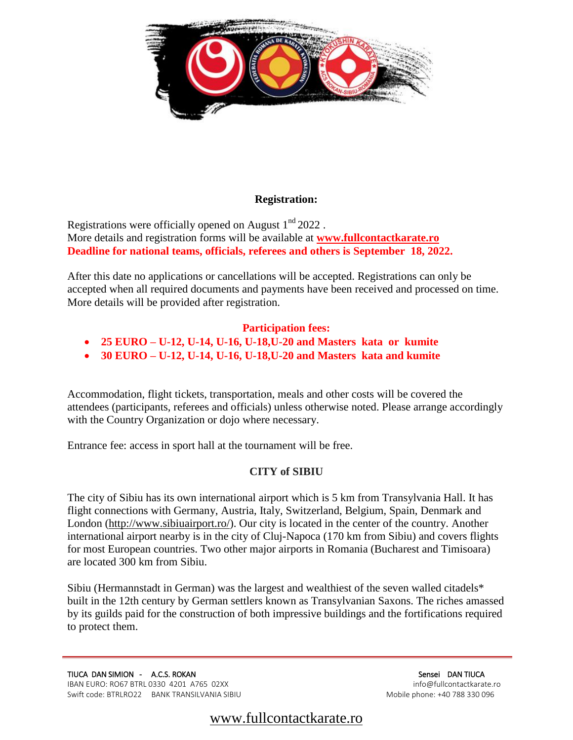

#### **Registration:**

Registrations were officially opened on August 1<sup>nd</sup> 2022. More details and registration forms will be available at **[www.fullcontactkarate.ro](http://www.fullcontactkarate.ro/) Deadline for national teams, officials, referees and others is September 18, 2022.** 

After this date no applications or cancellations will be accepted. Registrations can only be accepted when all required documents and payments have been received and processed on time. More details will be provided after registration.

# **Participation fees:**

- **25 EURO – U-12, U-14, U-16, U-18,U-20 and Masters kata or kumite**
- **30 EURO – U-12, U-14, U-16, U-18,U-20 and Masters kata and kumite**

Accommodation, flight tickets, transportation, meals and other costs will be covered the attendees (participants, referees and officials) unless otherwise noted. Please arrange accordingly with the Country Organization or dojo where necessary.

Entrance fee: access in sport hall at the tournament will be free.

# **CITY of SIBIU**

The city of Sibiu has its own international airport which is 5 km from Transylvania Hall. It has flight connections with Germany, Austria, Italy, Switzerland, Belgium, Spain, Denmark and London [\(http://www.sibiuairport.ro/\)](http://www.sibiuairport.ro/). Our city is located in the center of the country. Another international airport nearby is in the city of Cluj-Napoca (170 km from Sibiu) and covers flights for most European countries. Two other major airports in Romania (Bucharest and Timisoara) are located 300 km from Sibiu.

Sibiu (Hermannstadt in German) was the largest and wealthiest of the seven walled citadels\* built in the 12th century by German settlers known as Transylvanian Saxons. The riches amassed by its guilds paid for the construction of both impressive buildings and the fortifications required to protect them.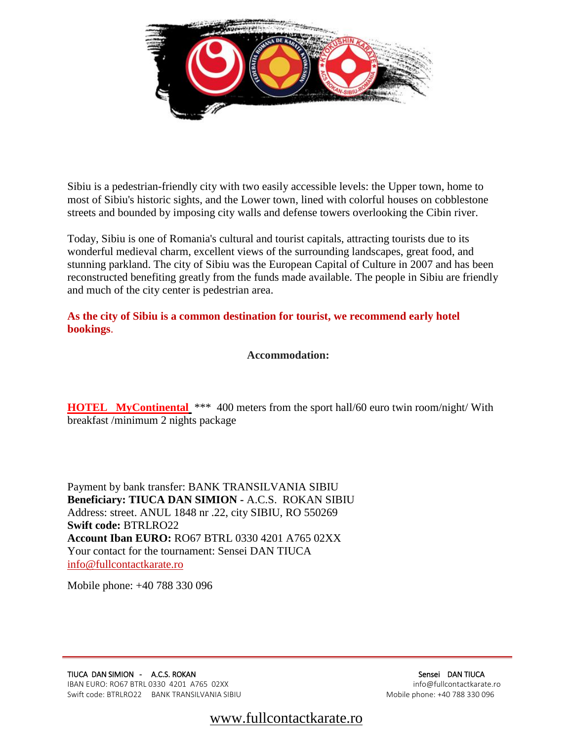

Sibiu is a pedestrian-friendly city with two easily accessible levels: the Upper town, home to most of Sibiu's historic sights, and the Lower town, lined with colorful houses on cobblestone streets and bounded by imposing city walls and defense towers overlooking the Cibin river.

Today, Sibiu is one of Romania's cultural and tourist capitals, attracting tourists due to its wonderful medieval charm, excellent views of the surrounding landscapes, great food, and stunning parkland. The city of Sibiu was the European Capital of Culture in 2007 and has been reconstructed benefiting greatly from the funds made available. The people in Sibiu are friendly and much of the city center is pedestrian area.

**As the city of Sibiu is a common destination for tourist, we recommend early hotel bookings**.

 **Accommodation:**

**[HOTEL MyContinental](http://www.parchotelsibiu.ro/ro/)** \*\*\* 400 meters from the sport hall/60 euro twin room/night/ With breakfast /minimum 2 nights package

Payment by bank transfer: BANK TRANSILVANIA SIBIU **Beneficiary: TIUCA DAN SIMION -** A.C.S. ROKAN SIBIU Address: street. ANUL 1848 nr .22, city SIBIU, RO 550269 **Swift code:** BTRLRO22 **Account Iban EURO:** RO67 BTRL 0330 4201 A765 02XX Your contact for the tournament: Sensei DAN TIUCA [info@fullcontactkarate.ro](mailto:info@fullcontactkarate.ro)

Mobile phone: +40 788 330 096

TIUCA DAN SIMION - A.C.S. ROKAN SENSEI DAN TIUCA DAN TIUCA DAN TIUCA IBAN EURO: RO67 BTRL 0330 4201 A765 02XX info@fullcontactkarate.ro Swift code: BTRLRO22 BANK TRANSILVANIA SIBIU MODILE PHONE: +40 788 330 096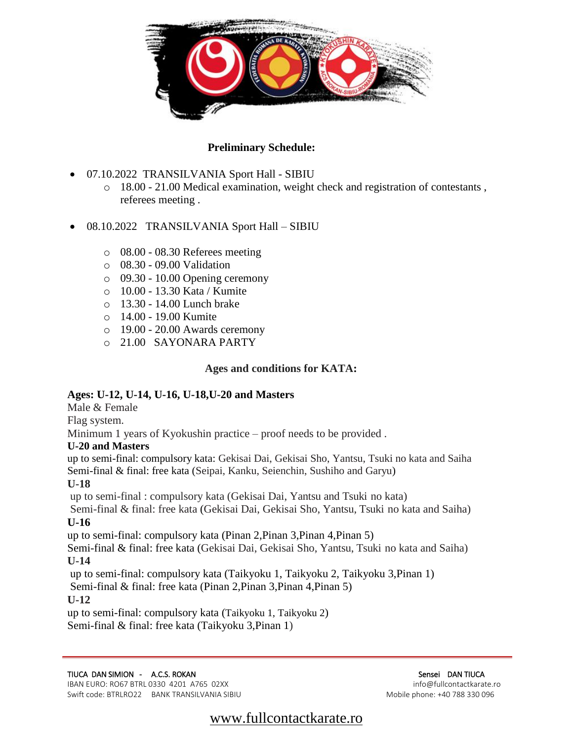

# **Preliminary Schedule:**

- 07.10.2022 TRANSILVANIA Sport Hall SIBIU
	- o 18.00 21.00 Medical examination, weight check and registration of contestants , referees meeting .
- 08.10.2022 TRANSILVANIA Sport Hall SIBIU
	- o 08.00 08.30 Referees meeting
	- o 08.30 09.00 Validation
	- o 09.30 10.00 Opening ceremony
	- o 10.00 13.30 Kata / Kumite
	- o 13.30 14.00 Lunch brake
	- o 14.00 19.00 Kumite
	- o 19.00 20.00 Awards ceremony
	- o 21.00 SAYONARA PARTY

# **Ages and conditions for KATA:**

# **Ages: U-12, U-14, U-16, U-18,U-20 and Masters**

Male & Female

Flag system.

Minimum 1 years of Kyokushin practice – proof needs to be provided .

# **U-20 and Masters**

up to semi-final: compulsory kata: Gekisai Dai, Gekisai Sho, Yantsu, Tsuki no kata and Saiha Semi-final & final: free kata (Seipai, Kanku, Seienchin, Sushiho and Garyu)

# **U-18**

up to semi-final : compulsory kata (Gekisai Dai, Yantsu and Tsuki no kata)

Semi-final & final: free kata (Gekisai Dai, Gekisai Sho, Yantsu, Tsuki no kata and Saiha) **U-16** 

up to semi-final: compulsory kata (Pinan 2,Pinan 3,Pinan 4,Pinan 5)

Semi-final & final: free kata (Gekisai Dai, Gekisai Sho, Yantsu, Tsuki no kata and Saiha) **U-14** 

up to semi-final: compulsory kata (Taikyoku 1, Taikyoku 2, Taikyoku 3,Pinan 1) Semi-final & final: free kata (Pinan 2,Pinan 3,Pinan 4,Pinan 5)

**U-12**

up to semi-final: compulsory kata (Taikyoku 1, Taikyoku 2) Semi-final & final: free kata (Taikyoku 3,Pinan 1)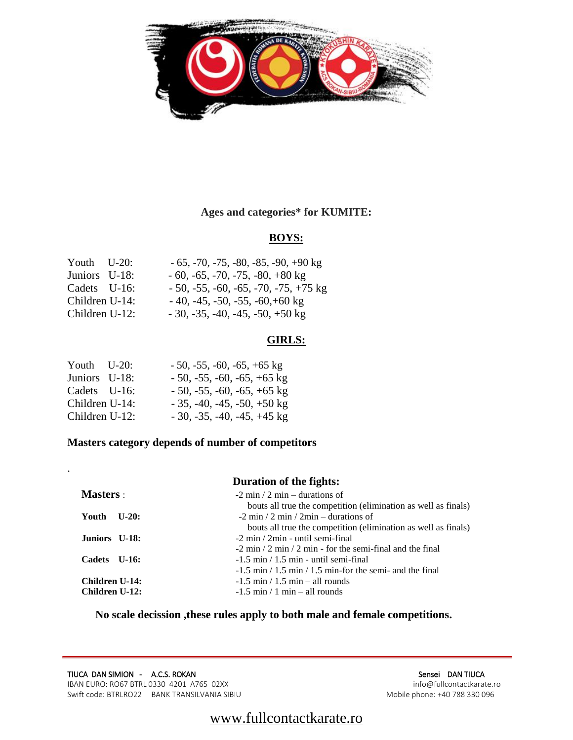

# **Ages and categories\* for KUMITE:**

# **BOYS:**

| Youth $U-20$ : | $-65, -70, -75, -80, -85, -90, +90 \text{ kg}$ |
|----------------|------------------------------------------------|
| Juniors U-18:  | $-60, -65, -70, -75, -80, +80$ kg              |
| Cadets U-16:   | $-50, -55, -60, -65, -70, -75, +75$ kg         |
| Children U-14: | $-40, -45, -50, -55, -60, +60$ kg              |
| Children U-12: | $-30, -35, -40, -45, -50, +50$ kg              |

# **GIRLS:**

| Youth U-20:    | $-50, -55, -60, -65, +65$ kg |
|----------------|------------------------------|
| Juniors U-18:  | $-50, -55, -60, -65, +65$ kg |
| Cadets U-16:   | $-50, -55, -60, -65, +65$ kg |
| Children U-14: | $-35, -40, -45, -50, +50$ kg |
| Children U-12: | $-30, -35, -40, -45, +45$ kg |

.

# **Masters category depends of number of competitors**

|                  | <b>Duration of the fights:</b>                                 |
|------------------|----------------------------------------------------------------|
| <b>Masters</b> : | $-2$ min / 2 min – durations of                                |
|                  | bouts all true the competition (elimination as well as finals) |
| Youth U-20:      | $-2 \min / 2 \min / 2 \min$ – durations of                     |
|                  | bouts all true the competition (elimination as well as finals) |
| Juniors U-18:    | $-2$ min $/2$ min - until semi-final                           |
|                  | $-2$ min / 2 min / 2 min - for the semi-final and the final    |
| Cadets U-16:     | $-1.5$ min $/1.5$ min - until semi-final                       |
|                  | $-1.5$ min / 1.5 min / 1.5 min-for the semi- and the final     |
| Children U-14:   | $-1.5$ min / 1.5 min – all rounds                              |
| Children U-12:   | $-1.5$ min / 1 min – all rounds                                |

**No scale decission ,these rules apply to both male and female competitions.**

TIUCA DAN SIMION - A.C.S. ROKAN SENSEI DAN TIUCA SENSEI DAN TIUCA<br>
IBAN EURO: RO67 BTRL 0330 4201 A765 02XX IBAN EURO: RO67 BTRL 0330 4201 A765 02XX info@fullcontactkarate.ro<br>Swift code: BTRLRO22 BANK TRANSILVANIA SIBIU Swift code: BTRLRO22 BANK TRANSILVANIA SIBIU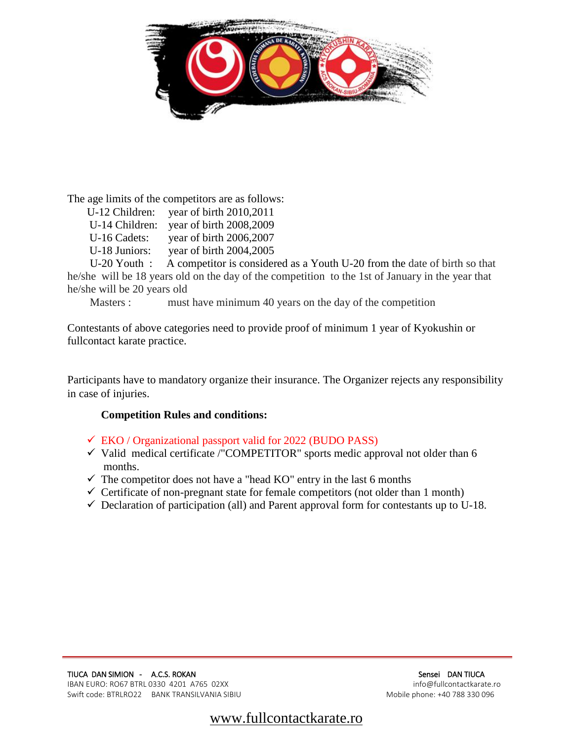

The age limits of the competitors are as follows:

| U-12 Children:                                                                                                                                                                                                                                                                                                                     | year of birth 2010,2011  |
|------------------------------------------------------------------------------------------------------------------------------------------------------------------------------------------------------------------------------------------------------------------------------------------------------------------------------------|--------------------------|
| U-14 Children:                                                                                                                                                                                                                                                                                                                     | year of birth 2008,2009  |
| U-16 Cadets:                                                                                                                                                                                                                                                                                                                       | year of birth 2006,2007  |
| U-18 Juniors:                                                                                                                                                                                                                                                                                                                      | year of birth 2004,2005  |
| $\mathbf{I}$ $\mathbf{I}$ $\mathbf{I}$ $\mathbf{I}$ $\mathbf{I}$ $\mathbf{I}$ $\mathbf{I}$ $\mathbf{I}$ $\mathbf{I}$ $\mathbf{I}$ $\mathbf{I}$ $\mathbf{I}$ $\mathbf{I}$ $\mathbf{I}$ $\mathbf{I}$ $\mathbf{I}$ $\mathbf{I}$ $\mathbf{I}$ $\mathbf{I}$ $\mathbf{I}$ $\mathbf{I}$ $\mathbf{I}$ $\mathbf{I}$ $\mathbf{I}$ $\mathbf{$ | A compatitor is consider |

 U-20 Youth : A competitor is considered as a Youth U-20 from the date of birth so that he/she will be 18 years old on the day of the competition to the 1st of January in the year that he/she will be 20 years old

Masters : must have minimum 40 years on the day of the competition

Contestants of above categories need to provide proof of minimum 1 year of Kyokushin or fullcontact karate practice.

Participants have to mandatory organize their insurance. The Organizer rejects any responsibility in case of injuries.

# **Competition Rules and conditions:**

- $\checkmark$  EKO / Organizational passport valid for 2022 (BUDO PASS)
- $\checkmark$  Valid medical certificate /"COMPETITOR" sports medic approval not older than 6 months.
- $\checkmark$  The competitor does not have a "head KO" entry in the last 6 months
- $\checkmark$  Certificate of non-pregnant state for female competitors (not older than 1 month)
- $\checkmark$  Declaration of participation (all) and Parent approval form for contestants up to U-18.